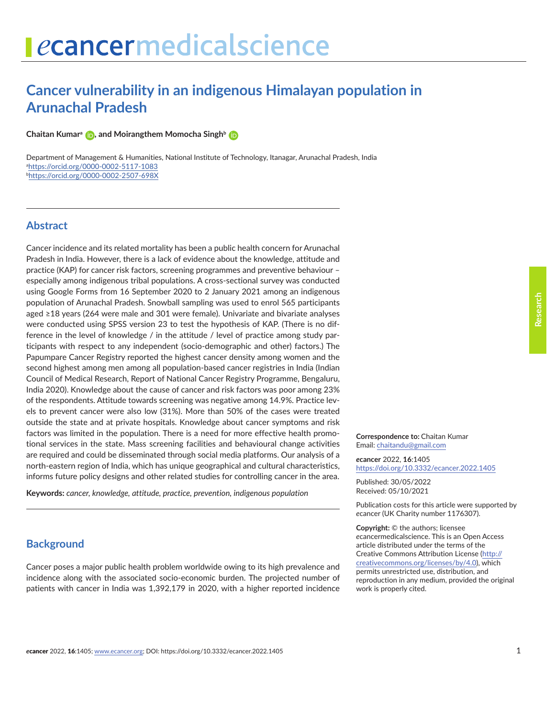# **Cancer vulnerability in an indigenous Himalayan population in Arunachal Pradesh**

**Chaitan Kumara [,](https://orcid.org/0000-0002-5117-1083) and Moirangthem Momocha Singhb**

Department of Management & Humanities, National Institute of Technology, Itanagar, Arunachal Pradesh, India a <https://orcid.org/0000-0002-5117-1083> b <https://orcid.org/0000-0002-2507-698X>

### **Abstract**

Cancer incidence and its related mortality has been a public health concern for Arunachal Pradesh in India. However, there is a lack of evidence about the knowledge, attitude and practice (KAP) for cancer risk factors, screening programmes and preventive behaviour – especially among indigenous tribal populations. A cross-sectional survey was conducted using Google Forms from 16 September 2020 to 2 January 2021 among an indigenous population of Arunachal Pradesh. Snowball sampling was used to enrol 565 participants aged ≥18 years (264 were male and 301 were female). Univariate and bivariate analyses were conducted using SPSS version 23 to test the hypothesis of KAP. (There is no difference in the level of knowledge / in the attitude / level of practice among study participants with respect to any independent (socio-demographic and other) factors.) The Papumpare Cancer Registry reported the highest cancer density among women and the second highest among men among all population-based cancer registries in India (Indian Council of Medical Research, Report of National Cancer Registry Programme, Bengaluru, India 2020). Knowledge about the cause of cancer and risk factors was poor among 23% of the respondents. Attitude towards screening was negative among 14.9%. Practice levels to prevent cancer were also low (31%). More than 50% of the cases were treated outside the state and at private hospitals. Knowledge about cancer symptoms and risk factors was limited in the population. There is a need for more effective health promotional services in the state. Mass screening facilities and behavioural change activities are required and could be disseminated through social media platforms. Our analysis of a north-eastern region of India, which has unique geographical and cultural characteristics, informs future policy designs and other related studies for controlling cancer in the area.

**Keywords:** *cancer, knowledge, attitude, practice, prevention, indigenous population*

# **Background**

Cancer poses a major public health problem worldwide owing to its high prevalence and incidence along with the associated socio-economic burden. The projected number of patients with cancer in India was 1,392,179 in 2020, with a higher reported incidence

**Correspondence to:** Chaitan Kumar Email: chaitandu@gmail.com

*e***cancer** 2022, **16**:1405 [https://doi.org/10.3332/ecancer.2022.](https://doi.org/10.3332/ecancer.2022.1405)1405

Published: 30/05/2022 Received: 05/10/2021

Publication costs for this article were supported by *e*cancer (UK Charity number 1176307).

**Copyright:** © the authors; licensee *e*cancermedicalscience. This is an Open Access article distributed under the terms of the Creative Commons Attribution License (http:// creativecommons.org/licenses/by/4.0), which permits unrestricted use, distribution, and reproduction in any medium, provided the original work is properly cited.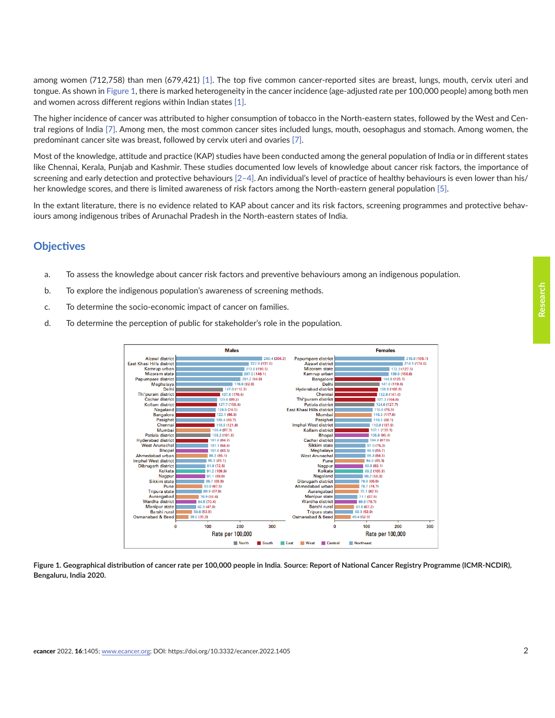among women (712,758) than men (679,421) [\[1\]](#page-20-0). The top five common cancer-reported sites are breast, lungs, mouth, cervix uteri and tongue. As shown in Figure 1, there is marked heterogeneity in the cancer incidence (age-adjusted rate per 100,000 people) among both men and women across different regions within Indian states [\[1\]](#page-20-0).

The higher incidence of cancer was attributed to higher consumption of tobacco in the North-eastern states, followed by the West and Central regions of India [\[7\]](#page-20-0). Among men, the most common cancer sites included lungs, mouth, oesophagus and stomach. Among women, the predominant cancer site was breast, followed by cervix uteri and ovaries [\[7\]](#page-20-0).

Most of the knowledge, attitude and practice (KAP) studies have been conducted among the general population of India or in different states like Chennai, Kerala, Punjab and Kashmir. These studies documented low levels of knowledge about cancer risk factors, the importance of screening and early detection and protective behaviours [\[2–4\]](#page-20-0). An individual's level of practice of healthy behaviours is even lower than his/ her knowledge scores, and there is limited awareness of risk factors among the North-eastern general population [\[5\]](#page-20-0).

In the extant literature, there is no evidence related to KAP about cancer and its risk factors, screening programmes and protective behaviours among indigenous tribes of Arunachal Pradesh in the North-eastern states of India.

### **Objectives**

- a. To assess the knowledge about cancer risk factors and preventive behaviours among an indigenous population.
- b. To explore the indigenous population's awareness of screening methods.
- c. To determine the socio-economic impact of cancer on families.
- d. To determine the perception of public for stakeholder's role in the population.



**Figure 1***.* **Geographical distribution of cancer rate per 100***,***000 people in India***.* **Source: Report of National Cancer Registry Programme (ICMR-NCDIR), Bengaluru, India 2020.**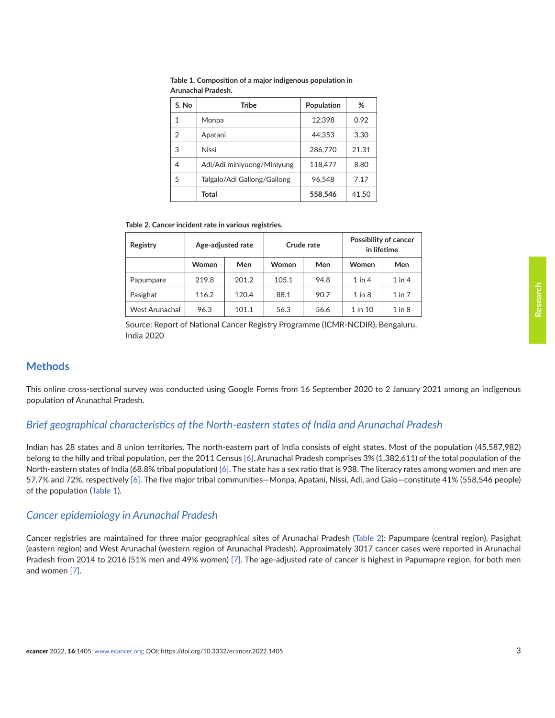| S. No | <b>Tribe</b>                | Population | %     |
|-------|-----------------------------|------------|-------|
| 1     | Monpa                       | 12,398     | 0.92  |
| 2     | Apatani                     | 44.353     | 3.30  |
| 3     | <b>Nissi</b>                | 286,770    | 21.31 |
| 4     | Adi/Adi miniyuong/Miniyung  | 118,477    | 8.80  |
| 5     | Talgalo/Adi Gallong/Gallong | 96.548     | 7.17  |
|       | Total                       | 558,546    | 41.50 |

**Table 1. Composition of a major indigenous population in Arunachal Pradesh.**

**Table 2. Cancer incident rate in various registries.**

| Registry              | Age-adjusted rate |       |              | Crude rate |             | <b>Possibility of cancer</b><br>in lifetime |
|-----------------------|-------------------|-------|--------------|------------|-------------|---------------------------------------------|
|                       | <b>Women</b>      | Men   | <b>Women</b> | Men        | Women       | Men                                         |
| Papumpare             | 219.8             | 201.2 | 105.1        | 94.8       | $1$ in $4$  | $1$ in $4$                                  |
| Pasighat              | 116.2             | 120.4 | 88.1         | 90.7       | $1$ in $8$  | $1$ in $7$                                  |
| <b>West Arunachal</b> | 96.3              | 101.1 | 56.3         | 56.6       | $1$ in $10$ | $1$ in $8$                                  |

Source: Report of National Cancer Registry Programme (ICMR-NCDIR), Bengaluru, India 2020

# **Methods**

This online cross-sectional survey was conducted using Google Forms from 16 September 2020 to 2 January 2021 among an indigenous population of Arunachal Pradesh.

# *Brief geographical characteristics of the North-eastern states of India and Arunachal Pradesh*

Indian has 28 states and 8 union territories. The north-eastern part of India consists of eight states. Most of the population (45,587,982) belong to the hilly and tribal population, per the 2011 Census [\[6\].](#page-20-0) Arunachal Pradesh comprises 3% (1,382,611) of the total population of the North-eastern states of India (68.8% tribal population) [\[6\].](#page-20-0) The state has a sex ratio that is 938. The literacy rates among women and men are 57.7% and 72%, respectively [\[6\].](#page-20-0) The five major tribal communities—Monpa, Apatani, Nissi, Adi, and Galo—constitute 41% (558,546 people) of the population (Table 1).

### *Cancer epidemiology in Arunachal Pradesh*

Cancer registries are maintained for three major geographical sites of Arunachal Pradesh (Table 2): Papumpare (central region), Pasighat (eastern region) and West Arunachal (western region of Arunachal Pradesh). Approximately 3017 cancer cases were reported in Arunachal Pradesh from 2014 to 2016 (51% men and 49% women) [\[7\].](#page-20-0) The age-adjusted rate of cancer is highest in Papumapre region, for both men and women [\[7\].](#page-20-0)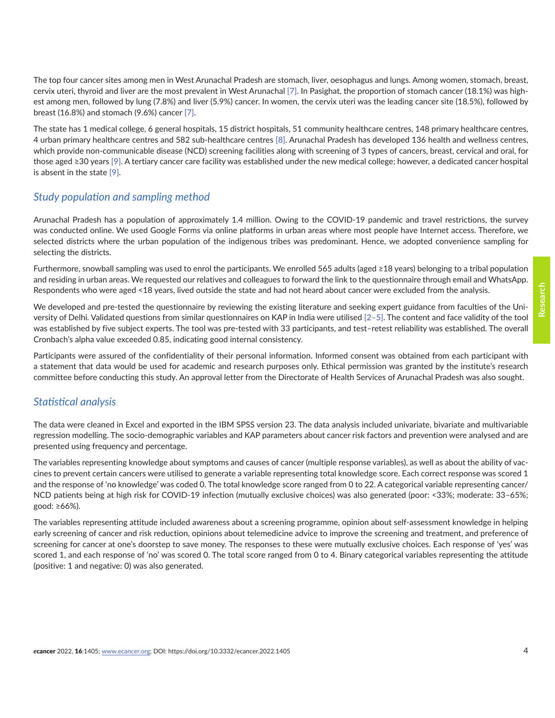The top four cancer sites among men in West Arunachal Pradesh are stomach, liver, oesophagus and lungs. Among women, stomach, breast, cervix uteri, thyroid and liver are the most prevalent in West Arunachal [\[7\].](#page-20-0) In Pasighat, the proportion of stomach cancer (18.1%) was highest among men, followed by lung (7.8%) and liver (5.9%) cancer. In women, the cervix uteri was the leading cancer site (18.5%), followed by breast (16.8%) and stomach (9.6%) cancer [\[7\]](#page-20-0).

The state has 1 medical college, 6 general hospitals, 15 district hospitals, 51 community healthcare centres, 148 primary healthcare centres, 4 urban primary healthcare centres and 582 sub-healthcare centres [\[8\].](#page-20-0) Arunachal Pradesh has developed 136 health and wellness centres, which provide non-communicable disease (NCD) screening facilities along with screening of 3 types of cancers, breast, cervical and oral, for those aged ≥30 years [\[9\]](#page-20-0). A tertiary cancer care facility was established under the new medical college; however, a dedicated cancer hospital is absent in the state [\[9\]](#page-20-0).

# *Study population and sampling method*

Arunachal Pradesh has a population of approximately 1.4 million. Owing to the COVID-19 pandemic and travel restrictions, the survey was conducted online. We used Google Forms via online platforms in urban areas where most people have Internet access. Therefore, we selected districts where the urban population of the indigenous tribes was predominant. Hence, we adopted convenience sampling for selecting the districts.

Furthermore, snowball sampling was used to enrol the participants. We enrolled 565 adults (aged ≥18 years) belonging to a tribal population and residing in urban areas. We requested our relatives and colleagues to forward the link to the questionnaire through email and WhatsApp. Respondents who were aged <18 years, lived outside the state and had not heard about cancer were excluded from the analysis.

We developed and pre-tested the questionnaire by reviewing the existing literature and seeking expert guidance from faculties of the University of Delhi. Validated questions from similar questionnaires on KAP in India were utilised [\[2–5\]](#page-20-0). The content and face validity of the tool was established by five subject experts. The tool was pre-tested with 33 participants, and test–retest reliability was established. The overall Cronbach's alpha value exceeded 0.85, indicating good internal consistency.

Participants were assured of the confidentiality of their personal information. Informed consent was obtained from each participant with a statement that data would be used for academic and research purposes only. Ethical permission was granted by the institute's research committee before conducting this study. An approval letter from the Directorate of Health Services of Arunachal Pradesh was also sought.

# *Statistical analysis*

The data were cleaned in Excel and exported in the IBM SPSS version 23. The data analysis included univariate, bivariate and multivariable regression modelling. The socio-demographic variables and KAP parameters about cancer risk factors and prevention were analysed and are presented using frequency and percentage.

The variables representing knowledge about symptoms and causes of cancer (multiple response variables), as well as about the ability of vaccines to prevent certain cancers were utilised to generate a variable representing total knowledge score. Each correct response was scored 1 and the response of 'no knowledge' was coded 0. The total knowledge score ranged from 0 to 22. A categorical variable representing cancer/ NCD patients being at high risk for COVID-19 infection (mutually exclusive choices) was also generated (poor: <33%; moderate: 33–65%; good: ≥66%).

The variables representing attitude included awareness about a screening programme, opinion about self-assessment knowledge in helping early screening of cancer and risk reduction, opinions about telemedicine advice to improve the screening and treatment, and preference of screening for cancer at one's doorstep to save money. The responses to these were mutually exclusive choices. Each response of 'yes' was scored 1, and each response of 'no' was scored 0. The total score ranged from 0 to 4. Binary categorical variables representing the attitude (positive: 1 and negative: 0) was also generated.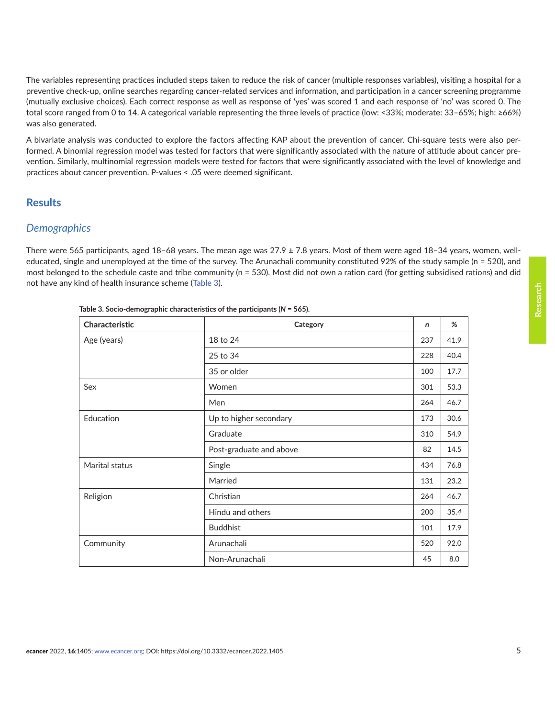The variables representing practices included steps taken to reduce the risk of cancer (multiple responses variables), visiting a hospital for a preventive check-up, online searches regarding cancer-related services and information, and participation in a cancer screening programme (mutually exclusive choices). Each correct response as well as response of 'yes' was scored 1 and each response of 'no' was scored 0. The total score ranged from 0 to 14. A categorical variable representing the three levels of practice (low: <33%; moderate: 33–65%; high: ≥66%) was also generated.

A bivariate analysis was conducted to explore the factors affecting KAP about the prevention of cancer. Chi-square tests were also performed. A binomial regression model was tested for factors that were significantly associated with the nature of attitude about cancer prevention. Similarly, multinomial regression models were tested for factors that were significantly associated with the level of knowledge and practices about cancer prevention. P-values < .05 were deemed significant.

# **Results**

### *Demographics*

There were 565 participants, aged  $18-68$  years. The mean age was  $27.9 \pm 7.8$  years. Most of them were aged  $18-34$  years, women, welleducated, single and unemployed at the time of the survey. The Arunachali community constituted 92% of the study sample (n = 520), and most belonged to the schedule caste and tribe community (n = 530). Most did not own a ration card (for getting subsidised rations) and did not have any kind of health insurance scheme (Table 3).

| Characteristic | Category                | n   | %    |
|----------------|-------------------------|-----|------|
| Age (years)    | 18 to 24                | 237 | 41.9 |
|                | 25 to 34                | 228 | 40.4 |
|                | 35 or older             | 100 | 17.7 |
| Sex            | Women                   | 301 | 53.3 |
|                | Men                     | 264 | 46.7 |
| Education      | Up to higher secondary  | 173 | 30.6 |
|                | Graduate                | 310 | 54.9 |
|                | Post-graduate and above | 82  | 14.5 |
| Marital status | Single                  | 434 | 76.8 |
|                | Married                 | 131 | 23.2 |
| Religion       | Christian               | 264 | 46.7 |
|                | Hindu and others        | 200 | 35.4 |
|                | <b>Buddhist</b>         | 101 | 17.9 |
| Community      | Arunachali              | 520 | 92.0 |
|                | Non-Arunachali          | 45  | 8.0  |

**Table 3. Socio-demographic characteristics of the participants (***N* **= 565).**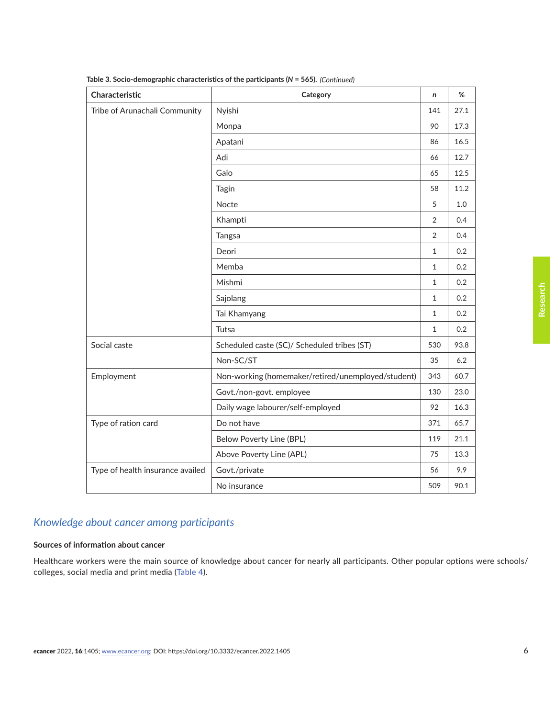| Characteristic                   | Category                                           | n              | %    |
|----------------------------------|----------------------------------------------------|----------------|------|
| Tribe of Arunachali Community    | Nyishi                                             | 141            | 27.1 |
|                                  | Monpa                                              | 90             | 17.3 |
|                                  | Apatani                                            | 86             | 16.5 |
|                                  | Adi                                                | 66             | 12.7 |
|                                  | Galo                                               | 65             | 12.5 |
|                                  | Tagin                                              | 58             | 11.2 |
|                                  | Nocte                                              | 5              | 1.0  |
|                                  | Khampti                                            | $\overline{2}$ | 0.4  |
|                                  | Tangsa                                             | 2              | 0.4  |
|                                  | Deori                                              | $\mathbf{1}$   | 0.2  |
|                                  | Memba                                              | $\mathbf{1}$   | 0.2  |
|                                  | Mishmi                                             | $\mathbf{1}$   | 0.2  |
|                                  | Sajolang                                           | $\mathbf{1}$   | 0.2  |
|                                  | Tai Khamyang                                       | $\mathbf{1}$   | 0.2  |
|                                  | Tutsa                                              | $\mathbf{1}$   | 0.2  |
| Social caste                     | Scheduled caste (SC)/ Scheduled tribes (ST)        | 530            | 93.8 |
|                                  | Non-SC/ST                                          | 35             | 6.2  |
| Employment                       | Non-working (homemaker/retired/unemployed/student) | 343            | 60.7 |
|                                  | Govt./non-govt. employee                           | 130            | 23.0 |
|                                  | Daily wage labourer/self-employed                  | 92             | 16.3 |
| Type of ration card              | Do not have                                        | 371            | 65.7 |
|                                  | <b>Below Poverty Line (BPL)</b>                    | 119            | 21.1 |
|                                  | Above Poverty Line (APL)                           | 75             | 13.3 |
| Type of health insurance availed | Govt./private                                      | 56             | 9.9  |
|                                  | No insurance                                       | 509            | 90.1 |

**Table 3. Socio-demographic characteristics of the participants (***N* **= 565).**  *(Continued)*

# *Knowledge about cancer among participants*

#### **Sources of information about cancer**

Healthcare workers were the main source of knowledge about cancer for nearly all participants. Other popular options were schools/ colleges, social media and print media ([Table 4](#page-6-0)).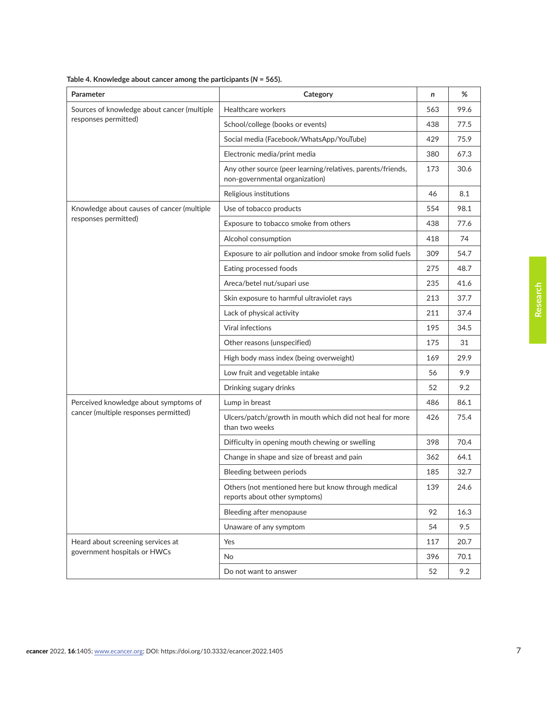| Parameter                                   | Category                                                                                      | n   | %    |
|---------------------------------------------|-----------------------------------------------------------------------------------------------|-----|------|
| Sources of knowledge about cancer (multiple | Healthcare workers                                                                            | 563 | 99.6 |
| responses permitted)                        | School/college (books or events)                                                              | 438 | 77.5 |
|                                             | Social media (Facebook/WhatsApp/YouTube)                                                      | 429 | 75.9 |
|                                             | Electronic media/print media                                                                  | 380 | 67.3 |
|                                             | Any other source (peer learning/relatives, parents/friends,<br>non-governmental organization) | 173 | 30.6 |
|                                             | Religious institutions                                                                        | 46  | 8.1  |
| Knowledge about causes of cancer (multiple  | Use of tobacco products                                                                       | 554 | 98.1 |
| responses permitted)                        | Exposure to tobacco smoke from others                                                         | 438 | 77.6 |
|                                             | Alcohol consumption                                                                           | 418 | 74   |
|                                             | Exposure to air pollution and indoor smoke from solid fuels                                   | 309 | 54.7 |
|                                             | Eating processed foods                                                                        | 275 | 48.7 |
|                                             | Areca/betel nut/supari use                                                                    | 235 | 41.6 |
|                                             | Skin exposure to harmful ultraviolet rays                                                     | 213 | 37.7 |
|                                             | Lack of physical activity                                                                     | 211 | 37.4 |
|                                             | <b>Viral infections</b>                                                                       | 195 | 34.5 |
|                                             | Other reasons (unspecified)                                                                   | 175 | 31   |
|                                             | High body mass index (being overweight)                                                       | 169 | 29.9 |
|                                             | Low fruit and vegetable intake                                                                | 56  | 9.9  |
|                                             | Drinking sugary drinks                                                                        | 52  | 9.2  |
| Perceived knowledge about symptoms of       | Lump in breast                                                                                | 486 | 86.1 |
| cancer (multiple responses permitted)       | Ulcers/patch/growth in mouth which did not heal for more<br>than two weeks                    | 426 | 75.4 |
|                                             | Difficulty in opening mouth chewing or swelling                                               | 398 | 70.4 |
|                                             | Change in shape and size of breast and pain                                                   | 362 | 64.1 |
|                                             | Bleeding between periods                                                                      | 185 | 32.7 |
|                                             | Others (not mentioned here but know through medical<br>reports about other symptoms)          | 139 | 24.6 |
|                                             | Bleeding after menopause                                                                      | 92  | 16.3 |
|                                             | Unaware of any symptom                                                                        | 54  | 9.5  |
| Heard about screening services at           | Yes                                                                                           | 117 | 20.7 |
| government hospitals or HWCs                | No                                                                                            | 396 | 70.1 |
|                                             | Do not want to answer                                                                         | 52  | 9.2  |

<span id="page-6-0"></span>

| Table 4. Knowledge about cancer among the participants ( $N = 565$ ). |  |  |
|-----------------------------------------------------------------------|--|--|
|                                                                       |  |  |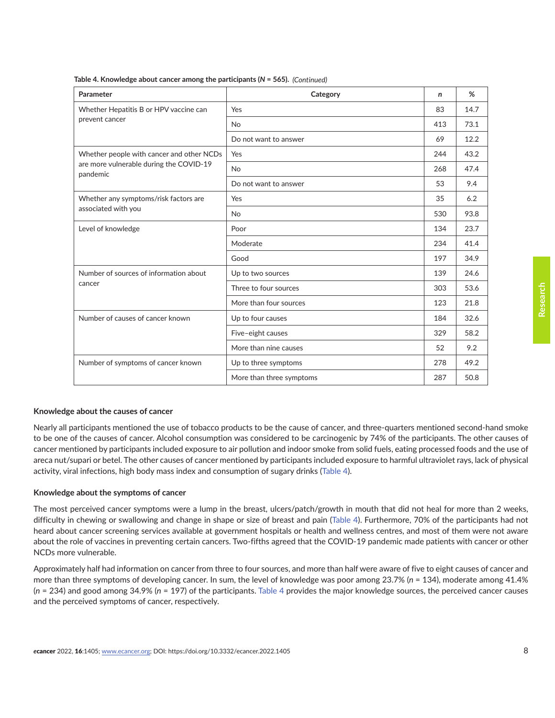| Parameter                                           | Category                 | n   | %    |
|-----------------------------------------------------|--------------------------|-----|------|
| Whether Hepatitis B or HPV vaccine can              | Yes                      | 83  | 14.7 |
| prevent cancer                                      | No                       | 413 | 73.1 |
|                                                     | Do not want to answer    | 69  | 12.2 |
| Whether people with cancer and other NCDs           | Yes                      | 244 | 43.2 |
| are more vulnerable during the COVID-19<br>pandemic | <b>No</b>                | 268 | 47.4 |
|                                                     | Do not want to answer    | 53  | 9.4  |
| Whether any symptoms/risk factors are               | Yes                      | 35  | 6.2  |
| associated with you                                 | <b>No</b>                | 530 | 93.8 |
| Level of knowledge                                  | Poor                     | 134 | 23.7 |
|                                                     | Moderate                 | 234 | 41.4 |
|                                                     | Good                     | 197 | 34.9 |
| Number of sources of information about              | Up to two sources        | 139 | 24.6 |
| cancer                                              | Three to four sources    | 303 | 53.6 |
|                                                     | More than four sources   | 123 | 21.8 |
| Number of causes of cancer known                    | Up to four causes        | 184 | 32.6 |
|                                                     | Five-eight causes        | 329 | 58.2 |
|                                                     | More than nine causes    | 52  | 9.2  |
| Number of symptoms of cancer known                  | Up to three symptoms     | 278 | 49.2 |
|                                                     | More than three symptoms | 287 | 50.8 |

**Table 4. Knowledge about cancer among the participants (***N* **= 565).** *(Continued)*

#### **Knowledge about the causes of cancer**

Nearly all participants mentioned the use of tobacco products to be the cause of cancer, and three-quarters mentioned second-hand smoke to be one of the causes of cancer. Alcohol consumption was considered to be carcinogenic by 74% of the participants. The other causes of cancer mentioned by participants included exposure to air pollution and indoor smoke from solid fuels, eating processed foods and the use of areca nut/supari or betel. The other causes of cancer mentioned by participants included exposure to harmful ultraviolet rays, lack of physical activity, viral infections, high body mass index and consumption of sugary drinks ([Table 4\)](#page-6-0).

#### **Knowledge about the symptoms of cancer**

The most perceived cancer symptoms were a lump in the breast, ulcers/patch/growth in mouth that did not heal for more than 2 weeks, difficulty in chewing or swallowing and change in shape or size of breast and pain [\(Table 4](#page-6-0)). Furthermore, 70% of the participants had not heard about cancer screening services available at government hospitals or health and wellness centres, and most of them were not aware about the role of vaccines in preventing certain cancers. Two-fifths agreed that the COVID-19 pandemic made patients with cancer or other NCDs more vulnerable.

Approximately half had information on cancer from three to four sources, and more than half were aware of five to eight causes of cancer and more than three symptoms of developing cancer. In sum, the level of knowledge was poor among 23.7% (*n* = 134), moderate among 41.4% (*n* = 234) and good among 34.9% (*n* = 197) of the participants. [Table 4](#page-6-0) provides the major knowledge sources, the perceived cancer causes and the perceived symptoms of cancer, respectively.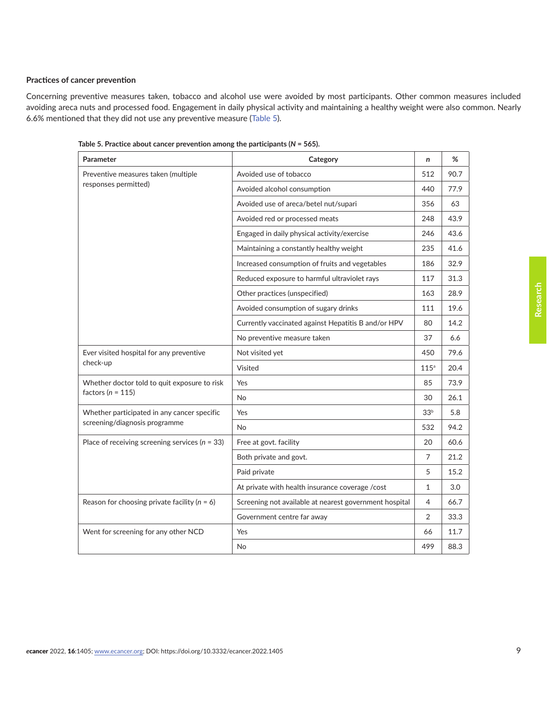#### **Practices of cancer prevention**

Concerning preventive measures taken, tobacco and alcohol use were avoided by most participants. Other common measures included avoiding areca nuts and processed food. Engagement in daily physical activity and maintaining a healthy weight were also common. Nearly 6.6% mentioned that they did not use any preventive measure (Table 5).

| Parameter                                          | Category                                               | $\mathsf{n}$     | %    |
|----------------------------------------------------|--------------------------------------------------------|------------------|------|
| Preventive measures taken (multiple                | Avoided use of tobacco                                 | 512              | 90.7 |
| responses permitted)                               | Avoided alcohol consumption                            | 440              | 77.9 |
|                                                    | Avoided use of areca/betel nut/supari                  | 356              | 63   |
|                                                    | Avoided red or processed meats                         | 248              | 43.9 |
|                                                    | Engaged in daily physical activity/exercise            | 246              | 43.6 |
|                                                    | Maintaining a constantly healthy weight                | 235              | 41.6 |
|                                                    | Increased consumption of fruits and vegetables         | 186              | 32.9 |
|                                                    | Reduced exposure to harmful ultraviolet rays           | 117              | 31.3 |
|                                                    | Other practices (unspecified)                          | 163              | 28.9 |
|                                                    | Avoided consumption of sugary drinks                   | 111              | 19.6 |
|                                                    | Currently vaccinated against Hepatitis B and/or HPV    | 80               | 14.2 |
|                                                    | No preventive measure taken                            | 37               | 6.6  |
| Ever visited hospital for any preventive           | Not visited yet                                        | 450              | 79.6 |
| check-up                                           | Visited                                                | 115 <sup>a</sup> | 20.4 |
| Whether doctor told to quit exposure to risk       | Yes                                                    | 85               | 73.9 |
| factors ( $n = 115$ )                              | <b>No</b>                                              | 30               | 26.1 |
| Whether participated in any cancer specific        | Yes                                                    | 33 <sup>b</sup>  | 5.8  |
| screening/diagnosis programme                      | <b>No</b>                                              | 532              | 94.2 |
| Place of receiving screening services ( $n = 33$ ) | Free at govt. facility                                 | 20               | 60.6 |
|                                                    | Both private and govt.                                 | 7                | 21.2 |
|                                                    | Paid private                                           | 5                | 15.2 |
|                                                    | At private with health insurance coverage /cost        | $\mathbf{1}$     | 3.0  |
| Reason for choosing private facility ( $n = 6$ )   | Screening not available at nearest government hospital | $\overline{4}$   | 66.7 |
|                                                    | Government centre far away                             | $\overline{2}$   | 33.3 |
| Went for screening for any other NCD               | Yes                                                    | 66               | 11.7 |
|                                                    | No                                                     | 499              | 88.3 |

**Table 5. Practice about cancer prevention among the participants (***N* **= 565).**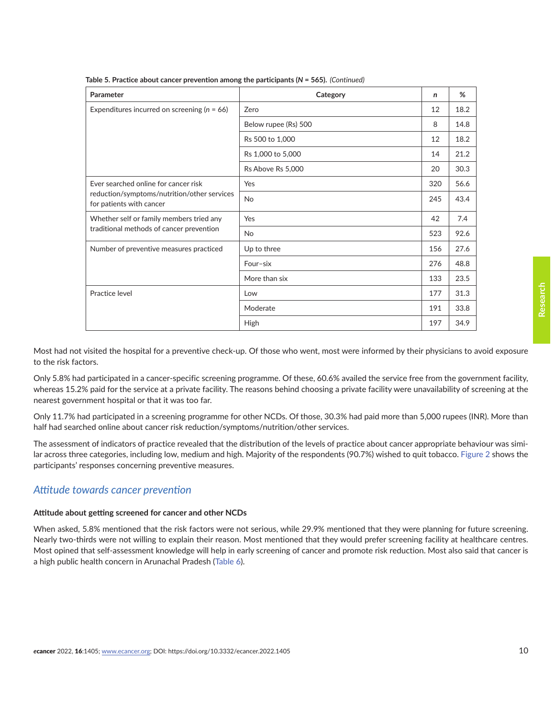| Parameter                                                               | Category             | n   | %    |
|-------------------------------------------------------------------------|----------------------|-----|------|
| Expenditures incurred on screening ( $n = 66$ )                         | Zero                 | 12  | 18.2 |
|                                                                         | Below rupee (Rs) 500 | 8   | 14.8 |
|                                                                         | Rs 500 to 1,000      | 12  | 18.2 |
|                                                                         | Rs 1,000 to 5,000    | 14  | 21.2 |
|                                                                         | Rs Above Rs 5,000    | 20  | 30.3 |
| Ever searched online for cancer risk                                    | Yes                  | 320 | 56.6 |
| reduction/symptoms/nutrition/other services<br>for patients with cancer | <b>No</b>            | 245 | 43.4 |
| Whether self or family members tried any                                | Yes                  | 42  | 7.4  |
| traditional methods of cancer prevention                                | <b>No</b>            | 523 | 92.6 |
| Number of preventive measures practiced                                 | Up to three          | 156 | 27.6 |
|                                                                         | Four-six             | 276 | 48.8 |
|                                                                         | More than six        | 133 | 23.5 |
| Practice level                                                          | Low                  | 177 | 31.3 |
|                                                                         | Moderate             | 191 | 33.8 |
|                                                                         | High                 | 197 | 34.9 |

**Table 5. Practice about cancer prevention among the participants (***N* **= 565).** *(Continued)*

Most had not visited the hospital for a preventive check-up. Of those who went, most were informed by their physicians to avoid exposure to the risk factors.

Only 5.8% had participated in a cancer-specific screening programme. Of these, 60.6% availed the service free from the government facility, whereas 15.2% paid for the service at a private facility. The reasons behind choosing a private facility were unavailability of screening at the nearest government hospital or that it was too far.

Only 11.7% had participated in a screening programme for other NCDs. Of those, 30.3% had paid more than 5,000 rupees (INR). More than half had searched online about cancer risk reduction/symptoms/nutrition/other services.

The assessment of indicators of practice revealed that the distribution of the levels of practice about cancer appropriate behaviour was similar across three categories, including low, medium and high. Majority of the respondents (90.7%) wished to quit tobacco. [Figure 2](#page-10-0) shows the participants' responses concerning preventive measures.

### *Attitude towards cancer prevention*

#### **Attitude about getting screened for cancer and other NCDs**

When asked, 5.8% mentioned that the risk factors were not serious, while 29.9% mentioned that they were planning for future screening. Nearly two-thirds were not willing to explain their reason. Most mentioned that they would prefer screening facility at healthcare centres. Most opined that self-assessment knowledge will help in early screening of cancer and promote risk reduction. Most also said that cancer is a high public health concern in Arunachal Pradesh [\(Table 6\)](#page-10-0).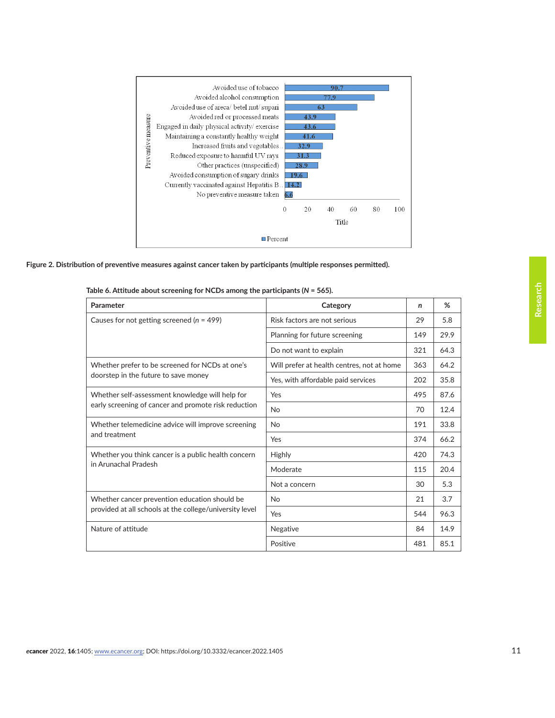<span id="page-10-0"></span>

**Figure 2. Distribution of preventive measures against cancer taken by participants (multiple responses permitted).** 

| Parameter                                               | Category                                   | n   | %    |
|---------------------------------------------------------|--------------------------------------------|-----|------|
| Causes for not getting screened ( $n = 499$ )           | Risk factors are not serious               | 29  | 5.8  |
|                                                         | Planning for future screening              | 149 | 29.9 |
|                                                         | Do not want to explain                     | 321 | 64.3 |
| Whether prefer to be screened for NCDs at one's         | Will prefer at health centres, not at home | 363 | 64.2 |
| doorstep in the future to save money                    | Yes, with affordable paid services         | 202 | 35.8 |
| Whether self-assessment knowledge will help for         | Yes                                        | 495 | 87.6 |
| early screening of cancer and promote risk reduction    | <b>No</b>                                  | 70  | 12.4 |
| Whether telemedicine advice will improve screening      | <b>No</b>                                  | 191 | 33.8 |
| and treatment                                           | Yes                                        | 374 | 66.2 |
| Whether you think cancer is a public health concern     | Highly                                     | 420 | 74.3 |
| in Arunachal Pradesh                                    | Moderate                                   | 115 | 20.4 |
|                                                         | Not a concern                              | 30  | 5.3  |
| Whether cancer prevention education should be           | <b>No</b>                                  | 21  | 3.7  |
| provided at all schools at the college/university level | Yes                                        | 544 | 96.3 |
| Nature of attitude                                      | Negative                                   | 84  | 14.9 |
|                                                         | Positive                                   | 481 | 85.1 |

#### **Table 6. Attitude about screening for NCDs among the participants (***N* **= 565).**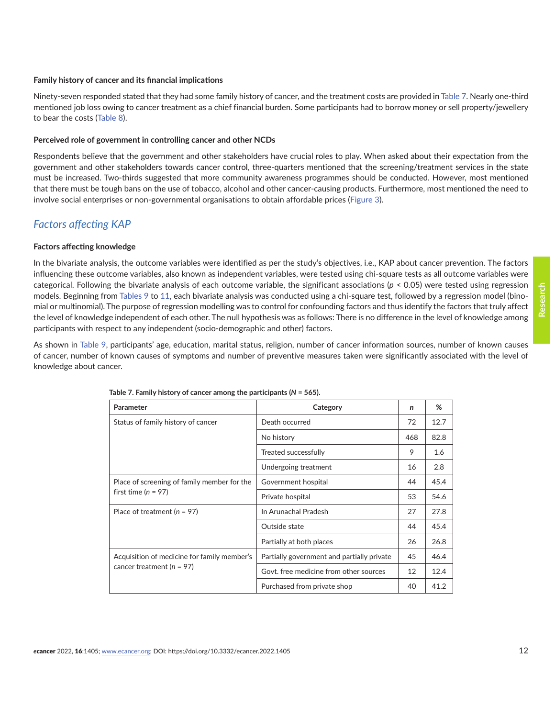#### **Family history of cancer and its financial implications**

Ninety-seven responded stated that they had some family history of cancer, and the treatment costs are provided in Table 7. Nearly one-third mentioned job loss owing to cancer treatment as a chief financial burden. Some participants had to borrow money or sell property/jewellery to bear the costs ([Table 8\)](#page-12-0).

#### **Perceived role of government in controlling cancer and other NCDs**

Respondents believe that the government and other stakeholders have crucial roles to play. When asked about their expectation from the government and other stakeholders towards cancer control, three-quarters mentioned that the screening/treatment services in the state must be increased. Two-thirds suggested that more community awareness programmes should be conducted. However, most mentioned that there must be tough bans on the use of tobacco, alcohol and other cancer-causing products. Furthermore, most mentioned the need to involve social enterprises or non-governmental organisations to obtain affordable prices [\(Figure 3\)](#page-12-0).

# *Factors affecting KAP*

#### **Factors affecting knowledge**

In the bivariate analysis, the outcome variables were identified as per the study's objectives, i.e., KAP about cancer prevention. The factors influencing these outcome variables, also known as independent variables, were tested using chi-square tests as all outcome variables were categorical. Following the bivariate analysis of each outcome variable, the significant associations (*p* < 0.05) were tested using regression models. Beginning from [Tables 9](#page-13-0) to [11](#page-16-0), each bivariate analysis was conducted using a chi-square test, followed by a regression model (binomial or multinomial). The purpose of regression modelling was to control for confounding factors and thus identify the factors that truly affect the level of knowledge independent of each other. The null hypothesis was as follows: There is no difference in the level of knowledge among participants with respect to any independent (socio-demographic and other) factors.

As shown in [Table 9,](#page-13-0) participants' age, education, marital status, religion, number of cancer information sources, number of known causes of cancer, number of known causes of symptoms and number of preventive measures taken were significantly associated with the level of knowledge about cancer.

| Parameter                                   | Category                                   | n   | %    |
|---------------------------------------------|--------------------------------------------|-----|------|
| Status of family history of cancer          | Death occurred                             | 72  | 12.7 |
|                                             | No history                                 | 468 | 82.8 |
|                                             | Treated successfully                       | 9   | 1.6  |
|                                             | Undergoing treatment                       | 16  | 2.8  |
| Place of screening of family member for the | Government hospital                        | 44  | 45.4 |
| first time $(n = 97)$                       | Private hospital                           | 53  | 54.6 |
| Place of treatment $(n = 97)$               | In Arunachal Pradesh                       | 27  | 27.8 |
|                                             | Outside state                              | 44  | 45.4 |
|                                             | Partially at both places                   | 26  | 26.8 |
| Acquisition of medicine for family member's | Partially government and partially private | 45  | 46.4 |
| cancer treatment ( $n = 97$ )               | Govt. free medicine from other sources     | 12  | 12.4 |
|                                             | Purchased from private shop                | 40  | 41.2 |

**Table 7. Family history of cancer among the participants (***N* **= 565).**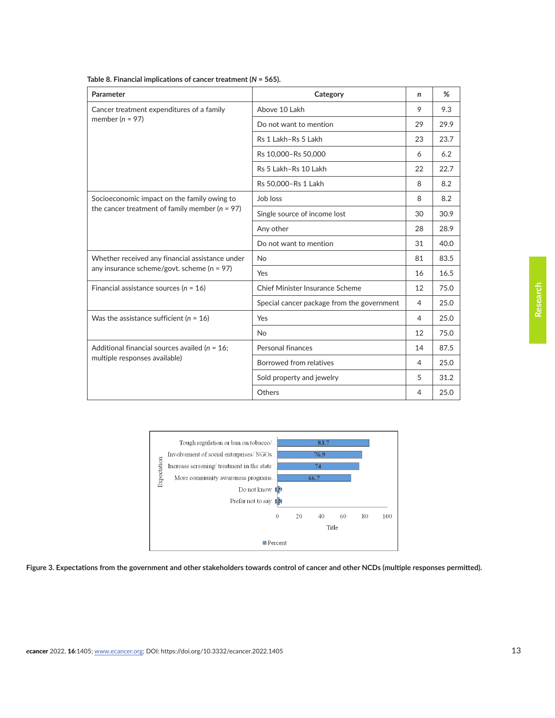| Parameter                                          | Category                                   | n  | %    |
|----------------------------------------------------|--------------------------------------------|----|------|
| Cancer treatment expenditures of a family          | Above 10 Lakh                              | 9  | 9.3  |
| member ( $n = 97$ )                                | Do not want to mention                     | 29 | 29.9 |
|                                                    | Rs 1 Lakh-Rs 5 Lakh                        | 23 | 23.7 |
|                                                    | Rs 10,000-Rs 50,000                        | 6  | 6.2  |
|                                                    | Rs 5 Lakh-Rs 10 Lakh                       | 22 | 22.7 |
|                                                    | Rs 50,000-Rs 1 Lakh                        | 8  | 8.2  |
| Socioeconomic impact on the family owing to        | Job loss                                   | 8  | 8.2  |
| the cancer treatment of family member ( $n = 97$ ) | Single source of income lost               | 30 | 30.9 |
|                                                    | Any other                                  | 28 | 28.9 |
|                                                    | Do not want to mention                     | 31 | 40.0 |
| Whether received any financial assistance under    | <b>No</b>                                  | 81 | 83.5 |
| any insurance scheme/govt. scheme ( $n = 97$ )     | Yes                                        | 16 | 16.5 |
| Financial assistance sources ( $n = 16$ )          | Chief Minister Insurance Scheme            | 12 | 75.0 |
|                                                    | Special cancer package from the government | 4  | 25.0 |
| Was the assistance sufficient ( $n = 16$ )         | Yes                                        | 4  | 25.0 |
|                                                    | <b>No</b>                                  | 12 | 75.0 |
| Additional financial sources availed ( $n = 16$ ;  | Personal finances                          | 14 | 87.5 |
| multiple responses available)                      | Borrowed from relatives                    | 4  | 25.0 |
|                                                    | Sold property and jewelry                  | 5  | 31.2 |
|                                                    | Others                                     | 4  | 25.0 |

<span id="page-12-0"></span>



**Figure 3. Expectations from the government and other stakeholders towards control of cancer and other NCDs (multiple responses permitted).**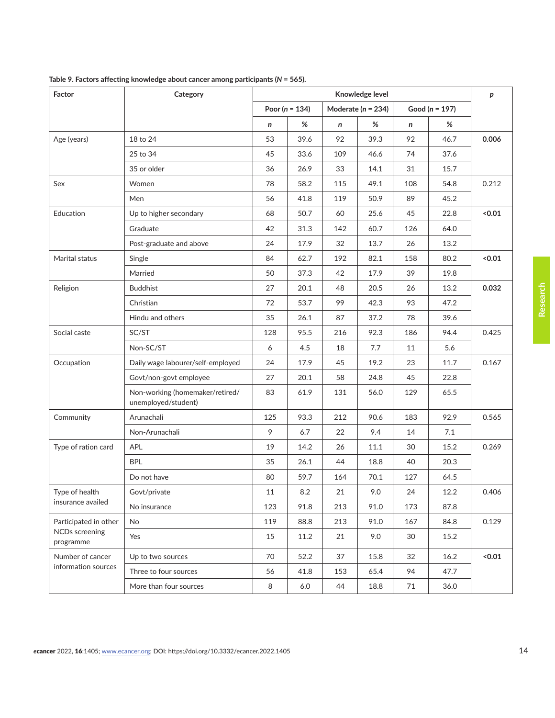| Factor                             | Category                                               |        | р                  |     |                        |     |                    |        |
|------------------------------------|--------------------------------------------------------|--------|--------------------|-----|------------------------|-----|--------------------|--------|
|                                    |                                                        |        | Poor ( $n = 134$ ) |     | Moderate ( $n = 234$ ) |     | Good ( $n = 197$ ) |        |
|                                    |                                                        | n      | %                  | n   | $\%$                   | n   | %                  |        |
| Age (years)                        | 18 to 24                                               | 53     | 39.6               | 92  | 39.3                   | 92  | 46.7               | 0.006  |
|                                    | 25 to 34                                               | 45     | 33.6               | 109 | 46.6                   | 74  | 37.6               |        |
|                                    | 35 or older                                            | 36     | 26.9               | 33  | 14.1                   | 31  | 15.7               |        |
| Sex                                | Women                                                  | 78     | 58.2               | 115 | 49.1                   | 108 | 54.8               | 0.212  |
|                                    | Men                                                    | 56     | 41.8               | 119 | 50.9                   | 89  | 45.2               |        |
| Education                          | Up to higher secondary                                 | 68     | 50.7               | 60  | 25.6                   | 45  | 22.8               | < 0.01 |
|                                    | Graduate                                               | 42     | 31.3               | 142 | 60.7                   | 126 | 64.0               |        |
|                                    | Post-graduate and above                                | 24     | 17.9               | 32  | 13.7                   | 26  | 13.2               |        |
| Marital status                     | Single                                                 | 84     | 62.7               | 192 | 82.1                   | 158 | 80.2               | < 0.01 |
|                                    | Married                                                | 50     | 37.3               | 42  | 17.9                   | 39  | 19.8               |        |
| Religion                           | <b>Buddhist</b>                                        | 27     | 20.1               | 48  | 20.5                   | 26  | 13.2               | 0.032  |
|                                    | Christian                                              | 72     | 53.7               | 99  | 42.3                   | 93  | 47.2               |        |
|                                    | Hindu and others                                       | 35     | 26.1               | 87  | 37.2                   | 78  | 39.6               |        |
| Social caste                       | SC/ST                                                  | 128    | 95.5               | 216 | 92.3                   | 186 | 94.4               | 0.425  |
|                                    | Non-SC/ST                                              | 6      | 4.5                | 18  | 7.7                    | 11  | 5.6                |        |
| Occupation                         | Daily wage labourer/self-employed                      | 24     | 17.9               | 45  | 19.2                   | 23  | 11.7               | 0.167  |
|                                    | Govt/non-govt employee                                 | 27     | 20.1               | 58  | 24.8                   | 45  | 22.8               |        |
|                                    | Non-working (homemaker/retired/<br>unemployed/student) | 83     | 61.9               | 131 | 56.0                   | 129 | 65.5               |        |
| Community                          | Arunachali                                             | 125    | 93.3               | 212 | 90.6                   | 183 | 92.9               | 0.565  |
|                                    | Non-Arunachali                                         | 9      | 6.7                | 22  | 9.4                    | 14  | 7.1                |        |
| Type of ration card                | <b>APL</b>                                             | 19     | 14.2               | 26  | 11.1                   | 30  | 15.2               | 0.269  |
|                                    | <b>BPL</b>                                             | 35     | 26.1               | 44  | 18.8                   | 40  | 20.3               |        |
|                                    | Do not have                                            | 80     | 59.7               | 164 | 70.1                   | 127 | 64.5               |        |
| Type of health                     | Govt/private                                           | $11\,$ | $8.2\,$            | 21  | 9.0                    | 24  | $12.2\,$           | 0.406  |
| insurance availed                  | No insurance                                           | 123    | 91.8               | 213 | 91.0                   | 173 | 87.8               |        |
| Participated in other              | No                                                     | 119    | 88.8               | 213 | 91.0                   | 167 | 84.8               | 0.129  |
| <b>NCDs</b> screening<br>programme | Yes                                                    | 15     | 11.2               | 21  | 9.0                    | 30  | 15.2               |        |
| Number of cancer                   | Up to two sources                                      | 70     | 52.2               | 37  | 15.8                   | 32  | 16.2               | 0.01   |
| information sources                | Three to four sources                                  | 56     | 41.8               | 153 | 65.4                   | 94  | 47.7               |        |
|                                    | More than four sources                                 | $\, 8$ | $6.0\,$            | 44  | 18.8                   | 71  | 36.0               |        |

<span id="page-13-0"></span>**Table 9. Factors affecting knowledge about cancer among participants (***N* **= 565).**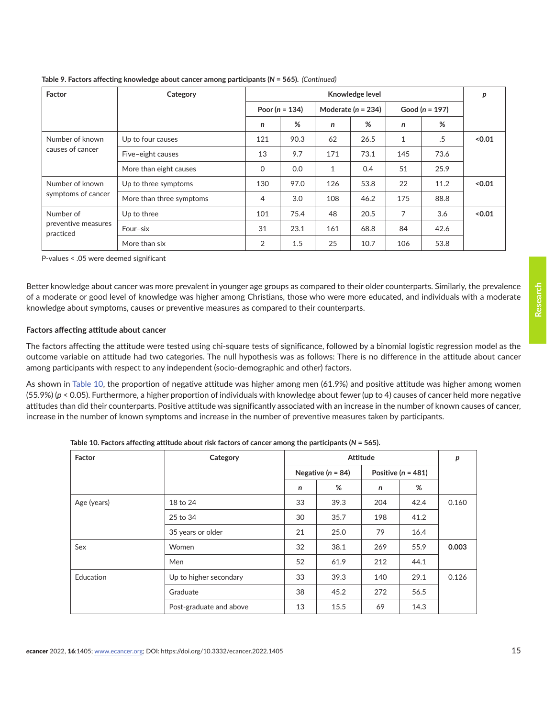| Factor                                        | Category                 | Knowledge level    |      |                        |      |                    |      | p      |
|-----------------------------------------------|--------------------------|--------------------|------|------------------------|------|--------------------|------|--------|
|                                               |                          | Poor ( $n = 134$ ) |      | Moderate ( $n = 234$ ) |      | Good ( $n = 197$ ) |      |        |
|                                               |                          | n                  | %    | n                      | %    | n                  | %    |        |
| Number of known<br>causes of cancer           | Up to four causes        | 121                | 90.3 | 62                     | 26.5 | $\mathbf{1}$       | .5   | < 0.01 |
|                                               | Five-eight causes        | 13                 | 9.7  | 171                    | 73.1 | 145                | 73.6 |        |
|                                               | More than eight causes   | $\Omega$           | 0.0  | 1                      | 0.4  | 51                 | 25.9 |        |
| Number of known                               | Up to three symptoms     | 130                | 97.0 | 126                    | 53.8 | 22                 | 11.2 | < 0.01 |
| symptoms of cancer                            | More than three symptoms | 4                  | 3.0  | 108                    | 46.2 | 175                | 88.8 |        |
| Number of<br>preventive measures<br>practiced | Up to three              | 101                | 75.4 | 48                     | 20.5 | 7                  | 3.6  | < 0.01 |
|                                               | Four-six                 | 31                 | 23.1 | 161                    | 68.8 | 84                 | 42.6 |        |
|                                               | More than six            | 2                  | 1.5  | 25                     | 10.7 | 106                | 53.8 |        |

**Table 9. Factors affecting knowledge about cancer among participants (***N* **= 565).**  *(Continued)*

P-values < .05 were deemed significant

Better knowledge about cancer was more prevalent in younger age groups as compared to their older counterparts. Similarly, the prevalence of a moderate or good level of knowledge was higher among Christians, those who were more educated, and individuals with a moderate knowledge about symptoms, causes or preventive measures as compared to their counterparts.

#### **Factors affecting attitude about cancer**

The factors affecting the attitude were tested using chi-square tests of significance, followed by a binomial logistic regression model as the outcome variable on attitude had two categories. The null hypothesis was as follows: There is no difference in the attitude about cancer among participants with respect to any independent (socio-demographic and other) factors.

As shown in Table 10, the proportion of negative attitude was higher among men (61.9%) and positive attitude was higher among women (55.9%) (*p* < 0.05). Furthermore, a higher proportion of individuals with knowledge about fewer (up to 4) causes of cancer held more negative attitudes than did their counterparts. Positive attitude was significantly associated with an increase in the number of known causes of cancer, increase in the number of known symptoms and increase in the number of preventive measures taken by participants.

| Factor      | Category                |                       | p    |                        |      |       |
|-------------|-------------------------|-----------------------|------|------------------------|------|-------|
|             |                         | Negative ( $n = 84$ ) |      | Positive ( $n = 481$ ) |      |       |
|             |                         | n                     | %    | n                      | %    |       |
| Age (years) | 18 to 24                | 33                    | 39.3 | 204                    | 42.4 | 0.160 |
|             | 25 to 34                | 30                    | 35.7 | 198                    | 41.2 |       |
|             | 35 years or older       | 21                    | 25.0 | 79                     | 16.4 |       |
| Sex         | Women                   | 32                    | 38.1 | 269                    | 55.9 | 0.003 |
|             | Men                     | 52                    | 61.9 | 212                    | 44.1 |       |
| Education   | Up to higher secondary  | 33                    | 39.3 | 140                    | 29.1 | 0.126 |
|             | Graduate                | 38                    | 45.2 | 272                    | 56.5 |       |
|             | Post-graduate and above | 13                    | 15.5 | 69                     | 14.3 |       |

**Table 10. Factors affecting attitude about risk factors of cancer among the participants (***N* **= 565).**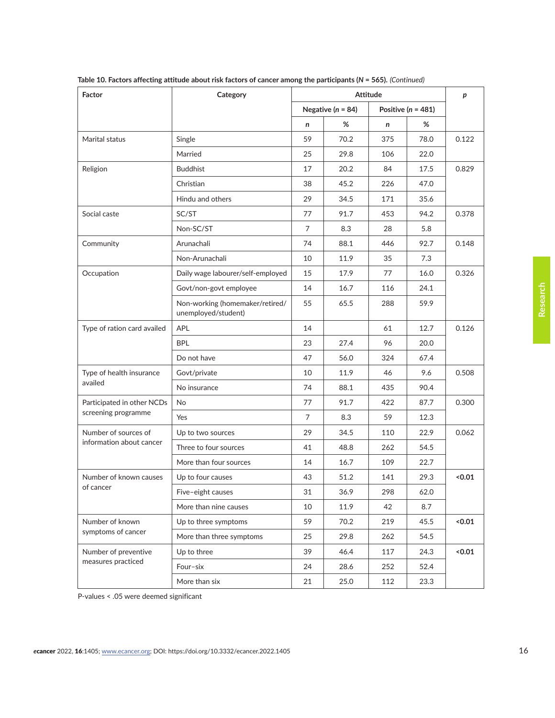| Factor                      | Category                                               |    | р                     |                        |      |        |  |
|-----------------------------|--------------------------------------------------------|----|-----------------------|------------------------|------|--------|--|
|                             |                                                        |    | Negative ( $n = 84$ ) | Positive ( $n = 481$ ) |      |        |  |
|                             |                                                        | n  | %                     | n                      | %    |        |  |
| Marital status              | Single                                                 | 59 | 70.2                  | 375                    | 78.0 | 0.122  |  |
|                             | Married                                                | 25 | 29.8                  | 106                    | 22.0 |        |  |
| Religion                    | <b>Buddhist</b>                                        | 17 | 20.2                  | 84                     | 17.5 | 0.829  |  |
|                             | Christian                                              | 38 | 45.2                  | 226                    | 47.0 |        |  |
|                             | Hindu and others                                       | 29 | 34.5                  | 171                    | 35.6 |        |  |
| Social caste                | SC/ST                                                  | 77 | 91.7                  | 453                    | 94.2 | 0.378  |  |
|                             | Non-SC/ST                                              | 7  | 8.3                   | 28                     | 5.8  |        |  |
| Community                   | Arunachali                                             | 74 | 88.1                  | 446                    | 92.7 | 0.148  |  |
|                             | Non-Arunachali                                         | 10 | 11.9                  | 35                     | 7.3  |        |  |
| Occupation                  | Daily wage labourer/self-employed                      | 15 | 17.9                  | 77                     | 16.0 | 0.326  |  |
|                             | Govt/non-govt employee                                 | 14 | 16.7                  | 116                    | 24.1 |        |  |
|                             | Non-working (homemaker/retired/<br>unemployed/student) | 55 | 65.5                  | 288                    | 59.9 |        |  |
| Type of ration card availed | <b>APL</b>                                             | 14 |                       | 61                     | 12.7 | 0.126  |  |
|                             | <b>BPL</b>                                             | 23 | 27.4                  | 96                     | 20.0 |        |  |
|                             | Do not have                                            | 47 | 56.0                  | 324                    | 67.4 |        |  |
| Type of health insurance    | Govt/private                                           | 10 | 11.9                  | 46                     | 9.6  | 0.508  |  |
| availed                     | No insurance                                           | 74 | 88.1                  | 435                    | 90.4 |        |  |
| Participated in other NCDs  | <b>No</b>                                              | 77 | 91.7                  | 422                    | 87.7 | 0.300  |  |
| screening programme         | Yes                                                    | 7  | 8.3                   | 59                     | 12.3 |        |  |
| Number of sources of        | Up to two sources                                      | 29 | 34.5                  | 110                    | 22.9 | 0.062  |  |
| information about cancer    | Three to four sources                                  | 41 | 48.8                  | 262                    | 54.5 |        |  |
|                             | More than four sources                                 | 14 | 16.7                  | 109                    | 22.7 |        |  |
| Number of known causes      | Up to four causes                                      | 43 | 51.2                  | 141                    | 29.3 | 0.01   |  |
| of cancer                   | Five-eight causes                                      | 31 | 36.9                  | 298                    | 62.0 |        |  |
|                             | More than nine causes                                  | 10 | 11.9                  | 42                     | 8.7  |        |  |
| Number of known             | Up to three symptoms                                   | 59 | 70.2                  | 219                    | 45.5 | < 0.01 |  |
| symptoms of cancer          | More than three symptoms                               | 25 | 29.8                  | 262                    | 54.5 |        |  |
| Number of preventive        | Up to three                                            | 39 | 46.4                  | 117                    | 24.3 | 0.01   |  |
| measures practiced          | Four-six                                               | 24 | 28.6                  | 252                    | 52.4 |        |  |
|                             | More than six                                          | 21 | 25.0                  | 112                    | 23.3 |        |  |

**Table 10. Factors affecting attitude about risk factors of cancer among the participants (***N* **= 565).** *(Continued)*

P-values < .05 were deemed significant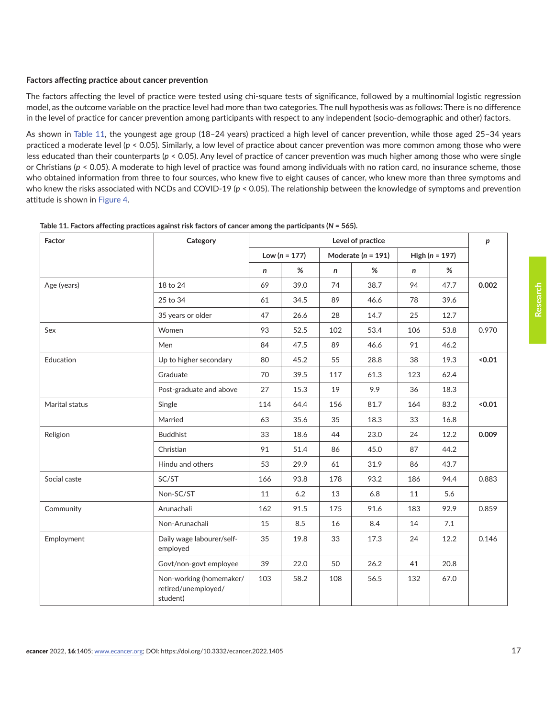#### <span id="page-16-0"></span>**Factors affecting practice about cancer prevention**

The factors affecting the level of practice were tested using chi-square tests of significance, followed by a multinomial logistic regression model, as the outcome variable on the practice level had more than two categories. The null hypothesis was as follows: There is no difference in the level of practice for cancer prevention among participants with respect to any independent (socio-demographic and other) factors.

As shown in Table 11, the youngest age group (18–24 years) practiced a high level of cancer prevention, while those aged 25–34 years practiced a moderate level ( $p < 0.05$ ). Similarly, a low level of practice about cancer prevention was more common among those who were less educated than their counterparts (*p* < 0.05). Any level of practice of cancer prevention was much higher among those who were single or Christians (*p* < 0.05). A moderate to high level of practice was found among individuals with no ration card, no insurance scheme, those who obtained information from three to four sources, who knew five to eight causes of cancer, who knew more than three symptoms and who knew the risks associated with NCDs and COVID-19 (*p* < 0.05). The relationship between the knowledge of symptoms and prevention attitude is shown in [Figure 4.](#page-18-0)

| Factor         | Category                                                   | Level of practice |      |              |                        |     |                    | p     |
|----------------|------------------------------------------------------------|-------------------|------|--------------|------------------------|-----|--------------------|-------|
|                |                                                            | Low $(n = 177)$   |      |              | Moderate ( $n = 191$ ) |     | High ( $n = 197$ ) |       |
|                |                                                            | n                 | %    | $\mathsf{n}$ | %                      | n   | %                  |       |
| Age (years)    | 18 to 24                                                   | 69                | 39.0 | 74           | 38.7                   | 94  | 47.7               | 0.002 |
|                | 25 to 34                                                   | 61                | 34.5 | 89           | 46.6                   | 78  | 39.6               |       |
|                | 35 years or older                                          | 47                | 26.6 | 28           | 14.7                   | 25  | 12.7               |       |
| Sex            | Women                                                      | 93                | 52.5 | 102          | 53.4                   | 106 | 53.8               | 0.970 |
|                | Men                                                        | 84                | 47.5 | 89           | 46.6                   | 91  | 46.2               |       |
| Education      | Up to higher secondary                                     | 80                | 45.2 | 55           | 28.8                   | 38  | 19.3               | <0.01 |
|                | Graduate                                                   | 70                | 39.5 | 117          | 61.3                   | 123 | 62.4               |       |
|                | Post-graduate and above                                    | 27                | 15.3 | 19           | 9.9                    | 36  | 18.3               |       |
| Marital status | Single                                                     | 114               | 64.4 | 156          | 81.7                   | 164 | 83.2               | 0.01  |
|                | Married                                                    | 63                | 35.6 | 35           | 18.3                   | 33  | 16.8               |       |
| Religion       | <b>Buddhist</b>                                            | 33                | 18.6 | 44           | 23.0                   | 24  | 12.2               | 0.009 |
|                | Christian                                                  | 91                | 51.4 | 86           | 45.0                   | 87  | 44.2               |       |
|                | Hindu and others                                           | 53                | 29.9 | 61           | 31.9                   | 86  | 43.7               |       |
| Social caste   | SC/ST                                                      | 166               | 93.8 | 178          | 93.2                   | 186 | 94.4               | 0.883 |
|                | Non-SC/ST                                                  | 11                | 6.2  | 13           | 6.8                    | 11  | 5.6                |       |
| Community      | Arunachali                                                 | 162               | 91.5 | 175          | 91.6                   | 183 | 92.9               | 0.859 |
|                | Non-Arunachali                                             | 15                | 8.5  | 16           | 8.4                    | 14  | 7.1                |       |
| Employment     | Daily wage labourer/self-<br>employed                      | 35                | 19.8 | 33           | 17.3                   | 24  | 12.2               | 0.146 |
|                | Govt/non-govt employee                                     | 39                | 22.0 | 50           | 26.2                   | 41  | 20.8               |       |
|                | Non-working (homemaker/<br>retired/unemployed/<br>student) | 103               | 58.2 | 108          | 56.5                   | 132 | 67.0               |       |

| Table 11. Factors affecting practices against risk factors of cancer among the participants ( $N = 565$ ). |
|------------------------------------------------------------------------------------------------------------|
|------------------------------------------------------------------------------------------------------------|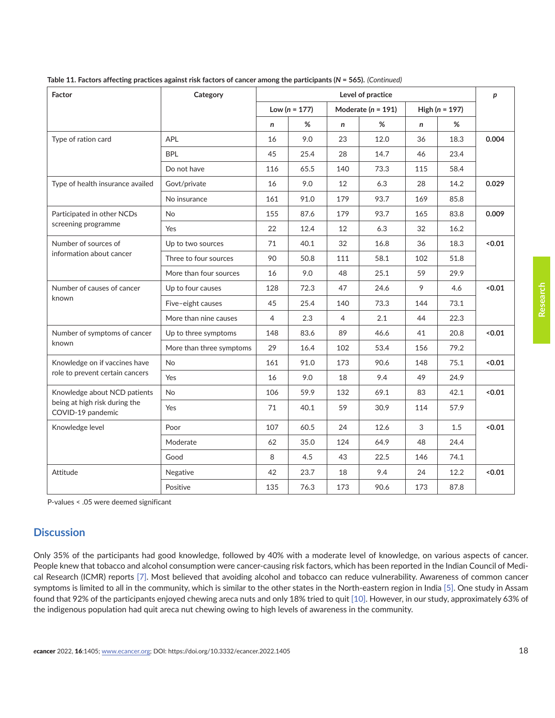| Factor                                             | Category                 | Level of practice |                 |                        |      |                    |      |        |
|----------------------------------------------------|--------------------------|-------------------|-----------------|------------------------|------|--------------------|------|--------|
|                                                    |                          |                   | Low $(n = 177)$ | Moderate ( $n = 191$ ) |      | High ( $n = 197$ ) |      |        |
|                                                    |                          | n                 | %               | n                      | %    | $\mathsf{n}$       | %    |        |
| Type of ration card                                | <b>APL</b>               | 16                | 9.0             | 23                     | 12.0 | 36                 | 18.3 | 0.004  |
|                                                    | <b>BPL</b>               | 45                | 25.4            | 28                     | 14.7 | 46                 | 23.4 |        |
|                                                    | Do not have              | 116               | 65.5            | 140                    | 73.3 | 115                | 58.4 |        |
| Type of health insurance availed                   | Govt/private             | 16                | 9.0             | 12                     | 6.3  | 28                 | 14.2 | 0.029  |
|                                                    | No insurance             | 161               | 91.0            | 179                    | 93.7 | 169                | 85.8 |        |
| Participated in other NCDs                         | <b>No</b>                | 155               | 87.6            | 179                    | 93.7 | 165                | 83.8 | 0.009  |
| screening programme                                | Yes                      | 22                | 12.4            | 12                     | 6.3  | 32                 | 16.2 |        |
| Number of sources of                               | Up to two sources        | 71                | 40.1            | 32                     | 16.8 | 36                 | 18.3 | < 0.01 |
| information about cancer                           | Three to four sources    | 90                | 50.8            | 111                    | 58.1 | 102                | 51.8 |        |
|                                                    | More than four sources   | 16                | 9.0             | 48                     | 25.1 | 59                 | 29.9 |        |
| Number of causes of cancer                         | Up to four causes        | 128               | 72.3            | 47                     | 24.6 | 9                  | 4.6  | <0.01  |
| known                                              | Five-eight causes        | 45                | 25.4            | 140                    | 73.3 | 144                | 73.1 |        |
|                                                    | More than nine causes    | 4                 | 2.3             | $\overline{4}$         | 2.1  | 44                 | 22.3 |        |
| Number of symptoms of cancer                       | Up to three symptoms     | 148               | 83.6            | 89                     | 46.6 | 41                 | 20.8 | < 0.01 |
| known                                              | More than three symptoms | 29                | 16.4            | 102                    | 53.4 | 156                | 79.2 |        |
| Knowledge on if vaccines have                      | <b>No</b>                | 161               | 91.0            | 173                    | 90.6 | 148                | 75.1 | 0.01   |
| role to prevent certain cancers                    | Yes                      | 16                | 9.0             | 18                     | 9.4  | 49                 | 24.9 |        |
| Knowledge about NCD patients                       | <b>No</b>                | 106               | 59.9            | 132                    | 69.1 | 83                 | 42.1 | 0.01   |
| being at high risk during the<br>COVID-19 pandemic | Yes                      | 71                | 40.1            | 59                     | 30.9 | 114                | 57.9 |        |
| Knowledge level                                    | Poor                     | 107               | 60.5            | 24                     | 12.6 | 3                  | 1.5  | 0.01   |
|                                                    | Moderate                 | 62                | 35.0            | 124                    | 64.9 | 48                 | 24.4 |        |
|                                                    | Good                     | 8                 | 4.5             | 43                     | 22.5 | 146                | 74.1 |        |
| Attitude                                           | Negative                 | 42                | 23.7            | 18                     | 9.4  | 24                 | 12.2 | < 0.01 |
|                                                    | Positive                 | 135               | 76.3            | 173                    | 90.6 | 173                | 87.8 |        |

**Table 11. Factors affecting practices against risk factors of cancer among the participants (***N* **= 565).** *(Continued)*

P-values < .05 were deemed significant

# **Discussion**

Only 35% of the participants had good knowledge, followed by 40% with a moderate level of knowledge, on various aspects of cancer. People knew that tobacco and alcohol consumption were cancer-causing risk factors, which has been reported in the Indian Council of Medical Research (ICMR) reports [\[7\].](#page-20-0) Most believed that avoiding alcohol and tobacco can reduce vulnerability. Awareness of common cancer symptoms is limited to all in the community, which is similar to the other states in the North-eastern region in India [\[5\].](#page-20-0) One study in Assam found that 92% of the participants enjoyed chewing areca nuts and only 18% tried to quit [\[10\].](#page-20-0) However, in our study, approximately 63% of the indigenous population had quit areca nut chewing owing to high levels of awareness in the community.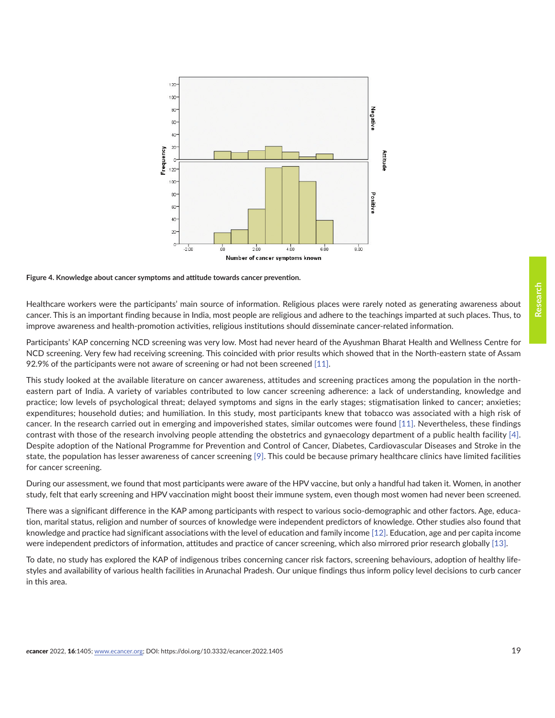<span id="page-18-0"></span>

**Figure 4. Knowledge about cancer symptoms and attitude towards cancer prevention.**

Healthcare workers were the participants' main source of information. Religious places were rarely noted as generating awareness about cancer. This is an important finding because in India, most people are religious and adhere to the teachings imparted at such places. Thus, to improve awareness and health-promotion activities, religious institutions should disseminate cancer-related information.

Participants' KAP concerning NCD screening was very low. Most had never heard of the Ayushman Bharat Health and Wellness Centre for NCD screening. Very few had receiving screening. This coincided with prior results which showed that in the North-eastern state of Assam 92.9% of the participants were not aware of screening or had not been screened [\[11\].](#page-20-0)

This study looked at the available literature on cancer awareness, attitudes and screening practices among the population in the northeastern part of India. A variety of variables contributed to low cancer screening adherence: a lack of understanding, knowledge and practice; low levels of psychological threat; delayed symptoms and signs in the early stages; stigmatisation linked to cancer; anxieties; expenditures; household duties; and humiliation. In this study, most participants knew that tobacco was associated with a high risk of cancer. In the research carried out in emerging and impoverished states, similar outcomes were found [\[11\]](#page-20-0). Nevertheless, these findings contrast with those of the research involving people attending the obstetrics and gynaecology department of a public health facility [\[4\].](#page-20-0) Despite adoption of the National Programme for Prevention and Control of Cancer, Diabetes, Cardiovascular Diseases and Stroke in the state, the population has lesser awareness of cancer screening [\[9\]](#page-20-0). This could be because primary healthcare clinics have limited facilities for cancer screening.

During our assessment, we found that most participants were aware of the HPV vaccine, but only a handful had taken it. Women, in another study, felt that early screening and HPV vaccination might boost their immune system, even though most women had never been screened.

There was a significant difference in the KAP among participants with respect to various socio-demographic and other factors. Age, education, marital status, religion and number of sources of knowledge were independent predictors of knowledge. Other studies also found that knowledge and practice had significant associations with the level of education and family income [\[12\]](#page-20-0). Education, age and per capita income were independent predictors of information, attitudes and practice of cancer screening, which also mirrored prior research globally [\[13\].](#page-20-0)

To date, no study has explored the KAP of indigenous tribes concerning cancer risk factors, screening behaviours, adoption of healthy lifestyles and availability of various health facilities in Arunachal Pradesh. Our unique findings thus inform policy level decisions to curb cancer in this area.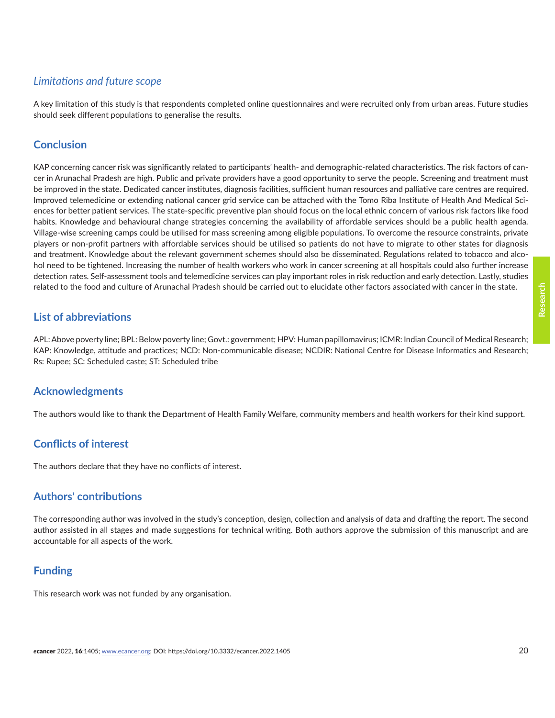# *Limitations and future scope*

A key limitation of this study is that respondents completed online questionnaires and were recruited only from urban areas. Future studies should seek different populations to generalise the results.

# **Conclusion**

KAP concerning cancer risk was significantly related to participants' health- and demographic-related characteristics. The risk factors of cancer in Arunachal Pradesh are high. Public and private providers have a good opportunity to serve the people. Screening and treatment must be improved in the state. Dedicated cancer institutes, diagnosis facilities, sufficient human resources and palliative care centres are required. Improved telemedicine or extending national cancer grid service can be attached with the Tomo Riba Institute of Health And Medical Sciences for better patient services. The state-specific preventive plan should focus on the local ethnic concern of various risk factors like food habits. Knowledge and behavioural change strategies concerning the availability of affordable services should be a public health agenda. Village-wise screening camps could be utilised for mass screening among eligible populations. To overcome the resource constraints, private players or non-profit partners with affordable services should be utilised so patients do not have to migrate to other states for diagnosis and treatment. Knowledge about the relevant government schemes should also be disseminated. Regulations related to tobacco and alcohol need to be tightened. Increasing the number of health workers who work in cancer screening at all hospitals could also further increase detection rates. Self-assessment tools and telemedicine services can play important roles in risk reduction and early detection. Lastly, studies related to the food and culture of Arunachal Pradesh should be carried out to elucidate other factors associated with cancer in the state.

# **List of abbreviations**

APL: Above poverty line; BPL: Below poverty line; Govt.: government; HPV: Human papillomavirus; ICMR: Indian Council of Medical Research; KAP: Knowledge, attitude and practices; NCD: Non-communicable disease; NCDIR: National Centre for Disease Informatics and Research; Rs: Rupee; SC: Scheduled caste; ST: Scheduled tribe

# **Acknowledgments**

The authors would like to thank the Department of Health Family Welfare, community members and health workers for their kind support.

# **Conflicts of interest**

The authors declare that they have no conflicts of interest.

# **Authors' contributions**

The corresponding author was involved in the study's conception, design, collection and analysis of data and drafting the report. The second author assisted in all stages and made suggestions for technical writing. Both authors approve the submission of this manuscript and are accountable for all aspects of the work.

# **Funding**

This research work was not funded by any organisation.